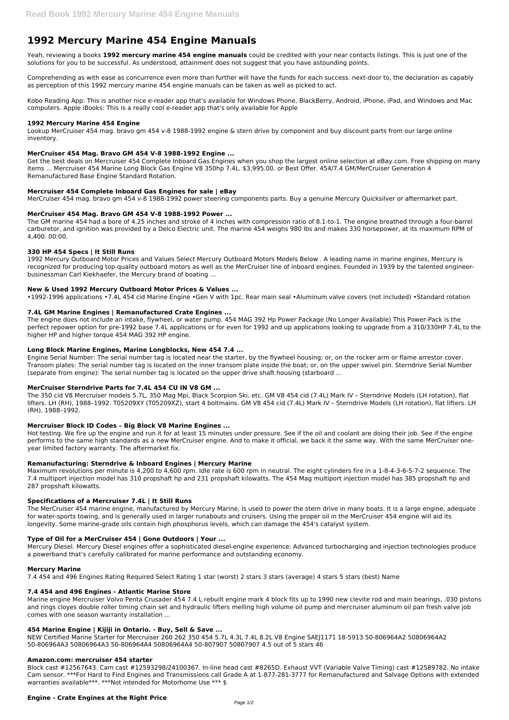# **1992 Mercury Marine 454 Engine Manuals**

Yeah, reviewing a books **1992 mercury marine 454 engine manuals** could be credited with your near contacts listings. This is just one of the solutions for you to be successful. As understood, attainment does not suggest that you have astounding points.

Comprehending as with ease as concurrence even more than further will have the funds for each success. next-door to, the declaration as capably as perception of this 1992 mercury marine 454 engine manuals can be taken as well as picked to act.

Kobo Reading App: This is another nice e-reader app that's available for Windows Phone, BlackBerry, Android, iPhone, iPad, and Windows and Mac computers. Apple iBooks: This is a really cool e-reader app that's only available for Apple

#### **1992 Mercury Marine 454 Engine**

Lookup MerCruiser 454 mag. bravo gm 454 v-8 1988-1992 engine & stern drive by component and buy discount parts from our large online inventory.

#### **MerCruiser 454 Mag. Bravo GM 454 V-8 1988-1992 Engine ...**

Get the best deals on Mercruiser 454 Complete Inboard Gas Engines when you shop the largest online selection at eBay.com. Free shipping on many items ... Mercruiser 454 Marine Long Block Gas Engine V8 350hp 7.4L. \$3,995.00. or Best Offer. 454/7.4 GM/MerCruiser Generation 4 Remanufactured Base Engine Standard Rotation.

#### **Mercruiser 454 Complete Inboard Gas Engines for sale | eBay**

MerCruiser 454 mag. bravo gm 454 v-8 1988-1992 power steering components parts. Buy a genuine Mercury Quicksilver or aftermarket part.

#### **MerCruiser 454 Mag. Bravo GM 454 V-8 1988-1992 Power ...**

The GM marine 454 had a bore of 4.25 inches and stroke of 4 inches with compression ratio of 8.1-to-1. The engine breathed through a four-barrel carburetor, and ignition was provided by a Delco Electric unit. The marine 454 weighs 980 lbs and makes 330 horsepower, at its maximum RPM of 4,400. 00:00.

#### **330 HP 454 Specs | It Still Runs**

1992 Mercury Outboard Motor Prices and Values Select Mercury Outboard Motors Models Below . A leading name in marine engines, Mercury is recognized for producing top-quality outboard motors as well as the MerCruiser line of inboard engines. Founded in 1939 by the talented engineerbusinessman Carl Kiekhaefer, the Mercury brand of boating ...

#### **New & Used 1992 Mercury Outboard Motor Prices & Values ...**

•1992-1996 applications •7.4L 454 cid Marine Engine •Gen V with 1pc. Rear main seal •Aluminum valve covers (not included) •Standard rotation

#### **7.4L GM Marine Engines | Remanufactured Crate Engines ...**

The engine does not include an intake, flywheel, or water pump. 454 MAG 392 Hp Power Package (No Longer Available) This Power-Pack is the perfect repower option for pre-1992 base 7.4L applications or for even for 1992 and up applications looking to upgrade from a 310/330HP 7.4L to the higher HP and higher torque 454 MAG 392 HP engine.

#### **Long Block Marine Engines, Marine Longblocks, New 454 7.4 ...**

Engine Serial Number: The serial number tag is located near the starter, by the flywheel housing; or, on the rocker arm or flame arrestor cover. Transom plates: The serial number tag is located on the inner transom plate inside the boat; or, on the upper swivel pin. Sterndrive Serial Number (separate from engine): The serial number tag is located on the upper drive shaft housing (starboard ...

#### **MerCruiser Sterndrive Parts for 7.4L 454 CU IN V8 GM ...**

The 350 cid V8 Mercruiser models 5.7L, 350 Mag Mpi, Black Scorpion Ski, etc. GM V8 454 cid (7.4L) Mark IV – Sterndrive Models (LH rotation), flat lifters. LH (RH), 1988–1992. T05209XY (T05209XZ), start 4 boltmains. GM V8 454 cid (7.4L) Mark IV – Sterndrive Models (LH rotation), flat lifters. LH (RH), 1988–1992.

#### **Mercruiser Block ID Codes – Big Block V8 Marine Engines ...**

Hot testing. We fire up the engine and run it for at least 15 minutes under pressure. See if the oil and coolant are doing their job. See if the engine performs to the same high standards as a new MerCruiser engine. And to make it official, we back it the same way. With the same MerCruiser oneyear limited factory warranty. The aftermarket fix.

#### **Remanufacturing: Sterndrive & Inboard Engines | Mercury Marine**

Maximum revolutions per minute is 4,200 to 4,600 rpm. Idle rate is 600 rpm in neutral. The eight cylinders fire in a 1-8-4-3-6-5-7-2 sequence. The 7.4 multiport injection model has 310 propshaft hp and 231 propshaft kilowatts. The 454 Mag multiport injection model has 385 propshaft hp and 287 propshaft kilowatts.

### **Specifications of a Mercruiser 7.4L | It Still Runs**

The MerCruiser 454 marine engine, manufactured by Mercury Marine, is used to power the stern drive in many boats. It is a large engine, adequate for water-sports towing, and is generally used in larger runabouts and cruisers. Using the proper oil in the MerCruiser 454 engine will aid its longevity. Some marine-grade oils contain high phosphorus levels, which can damage the 454's catalyst system.

#### **Type of Oil for a MerCruiser 454 | Gone Outdoors | Your ...**

Mercury Diesel. Mercury Diesel engines offer a sophisticated diesel-engine experience: Advanced turbocharging and injection technologies produce a powerband that's carefully calibrated for marine performance and outstanding economy.

#### **Mercury Marine**

7.4 454 and 496 Engines Rating Required Select Rating 1 star (worst) 2 stars 3 stars (average) 4 stars 5 stars (best) Name

#### **7.4 454 and 496 Engines - Atlantic Marine Store**

Marine engine Mercruiser Volvo Penta Crusader 454 7.4 L rebuilt engine mark 4 block fits up to 1990 new clevite rod and main bearings, .030 pistons and rings cloyes double roller timing chain set and hydraulic lifters melling high volume oil pump and mercruiser aluminum oil pan fresh valve job comes with one season warranty installation ...

# **454 Marine Engine | Kijiji in Ontario. - Buy, Sell & Save ...**

NEW Certified Marine Starter for Mercruiser 260 262 350 454 5.7L 4.3L 7.4L 8.2L V8 Engine SAEJ1171 18-5913 50-806964A2 50806964A2 50-806964A3 50806964A3 50-806964A4 50806964A4 50-807907 50807907 4.5 out of 5 stars 46

#### **Amazon.com: mercruiser 454 starter**

Block cast #12567643. Cam cast #12593298/24100367. In-line head cast #8265D. Exhaust VVT (Variable Valve Timing) cast #12589782. No intake Cam sensor. \*\*\*For Hard to Find Engines and Transmissions call Grade A at 1-877-281-3777 for Remanufactured and Salvage Options with extended warranties available\*\*\*. \*\*\*Not intended for Motorhome Use \*\*\* \$

# **Engine - Crate Engines at the Right Price**